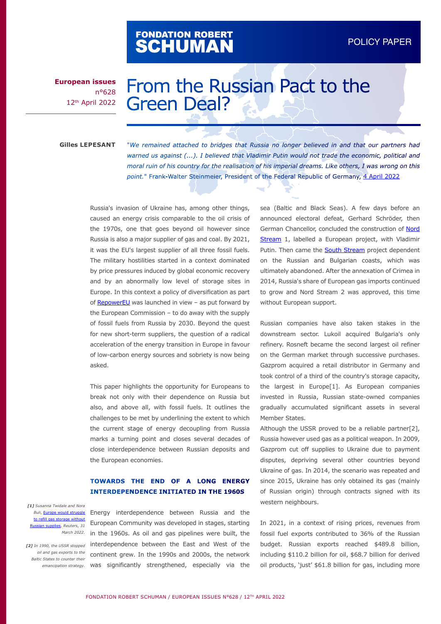# FONDATION ROBERT<br>**SCHUMAN**

**European issues** n°628 12th April 2022

# From the Russian Pact to the Green Deal?

#### **Gilles LEPESANT**

"*We remained attached to bridges that Russia no longer believed in and that our partners had warned us against (...). I believed that Vladimir Putin would not trade the economic, political and moral ruin of his country for the realisation of his imperial dreams. Like others, I was wrong on this point.*" Frank-Walter Steinmeier, President of the Federal Republic of Germany, [4 April 2022](https://www.faz.net/aktuell/politik/inland/steinmeier-gesteht-fehler-im-umgang-mit-russlands-praesident-putin-ein-17934082.html)

Russia's invasion of Ukraine has, among other things, caused an energy crisis comparable to the oil crisis of the 1970s, one that goes beyond oil however since Russia is also a major supplier of gas and coal. By 2021, it was the EU's largest supplier of all three fossil fuels. The military hostilities started in a context dominated by price pressures induced by global economic recovery and by an abnormally low level of storage sites in Europe. In this context a policy of diversification as part of [RepowerEU](https://ec.europa.eu/commission/presscorner/detail/en/ip_22_1511) was launched in view – as put forward by the European Commission – to do away with the supply of fossil fuels from Russia by 2030. Beyond the quest for new short-term suppliers, the question of a radical acceleration of the energy transition in Europe in favour of low-carbon energy sources and sobriety is now being asked.

This paper highlights the opportunity for Europeans to break not only with their dependence on Russia but also, and above all, with fossil fuels. It outlines the challenges to be met by underlining the extent to which the current stage of energy decoupling from Russia marks a turning point and closes several decades of close interdependence between Russian deposits and the European economies.

### **TOWARDS THE END OF A LONG ENERGY INTERDEPENDENCE INITIATED IN THE 1960S**

*[1] Susanna Twidale and Nora*  to refill gas storage without [Russian supplies](https://www.reuters.com/news/picture/europe-would-struggle-to-refill-gas-stor-idUSKCN2LR24E)*, Reuters, 31* 

*oil and gas exports to the Baltic States to counter their emancipation strategy.*

Buli, [Europe would struggle](https://www.reuters.com/news/picture/europe-would-struggle-to-refill-gas-stor-idUSKCN2LR24E) Energy interdependence between Russia and the European Community was developed in stages, starting *March 2022.* in the 1960s. As oil and gas pipelines were built, the *[2] In 1990, the USSR stopped* interdependence between the East and West of the continent grew. In the 1990s and 2000s, the network was significantly strengthened, especially via the

sea (Baltic and Black Seas). A few days before an announced electoral defeat, Gerhard Schröder, then German Chancellor, concluded the construction of [Nord](https://www.nord-stream.com/)  [Stream](https://www.nord-stream.com/) 1, labelled a European project, with Vladimir Putin. Then came the **South Stream** project dependent on the Russian and Bulgarian coasts, which was ultimately abandoned. After the annexation of Crimea in 2014, Russia's share of European gas imports continued to grow and Nord Stream 2 was approved, this time without European support.

Russian companies have also taken stakes in the downstream sector. Lukoil acquired Bulgaria's only refinery. Rosneft became the second largest oil refiner on the German market through successive purchases. Gazprom acquired a retail distributor in Germany and took control of a third of the country's storage capacity, the largest in Europe[1]. As European companies invested in Russia, Russian state-owned companies gradually accumulated significant assets in several Member States.

Although the USSR proved to be a reliable partner[2], Russia however used gas as a political weapon. In 2009, Gazprom cut off supplies to Ukraine due to payment disputes, depriving several other countries beyond Ukraine of gas. In 2014, the scenario was repeated and since 2015, Ukraine has only obtained its gas (mainly of Russian origin) through contracts signed with its western neighbours.

In 2021, in a context of rising prices, revenues from fossil fuel exports contributed to 36% of the Russian budget. Russian exports reached \$489.8 billion, including \$110.2 billion for oil, \$68.7 billion for derived oil products, 'just' \$61.8 billion for gas, including more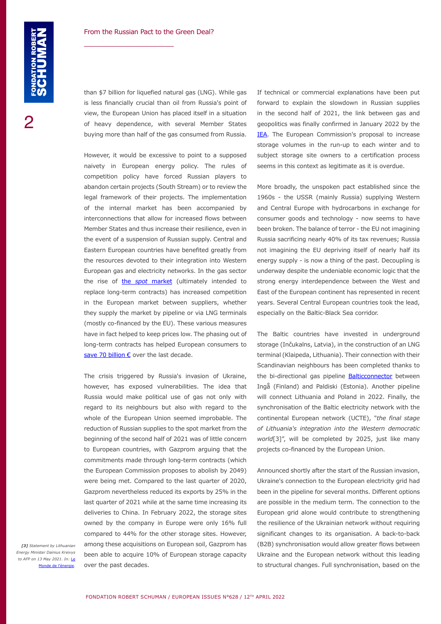2

than \$7 billion for liquefied natural gas (LNG). While gas is less financially crucial than oil from Russia's point of view, the European Union has placed itself in a situation of heavy dependence, with several Member States buying more than half of the gas consumed from Russia.

However, it would be excessive to point to a supposed naivety in European energy policy. The rules of competition policy have forced Russian players to abandon certain projects (South Stream) or to review the legal framework of their projects. The implementation of the internal market has been accompanied by interconnections that allow for increased flows between Member States and thus increase their resilience, even in the event of a suspension of Russian supply. Central and Eastern European countries have benefited greatly from the resources devoted to their integration into Western European gas and electricity networks. In the gas sector the rise of the *spot* [market](https://marketbusinessnews.com/financial-glossary/spot-market/) (ultimately intended to replace long-term contracts) has increased competition in the European market between suppliers, whether they supply the market by pipeline or via LNG terminals (mostly co-financed by the EU). These various measures have in fact helped to keep prices low. The phasing out of long-term contracts has helped European consumers to [save 70 billion €](https://www.iea.org/commentaries/despite-short-term-pain-the-eu-s-liberalised-gas-markets-have-brought-long-term-financial-gains) over the last decade.

The crisis triggered by Russia's invasion of Ukraine, however, has exposed vulnerabilities. The idea that Russia would make political use of gas not only with regard to its neighbours but also with regard to the whole of the European Union seemed improbable. The reduction of Russian supplies to the spot market from the beginning of the second half of 2021 was of little concern to European countries, with Gazprom arguing that the commitments made through long-term contracts (which the European Commission proposes to abolish by 2049) were being met. Compared to the last quarter of 2020, Gazprom nevertheless reduced its exports by 25% in the last quarter of 2021 while at the same time increasing its deliveries to China. In February 2022, the storage sites owned by the company in Europe were only 16% full compared to 44% for the other storage sites. However, among these acquisitions on European soil, Gazprom has been able to acquire 10% of European storage capacity over the past decades.

*[3] Statement by Lithuanian Energy Minister Dainius Kreivys to AFP on 13 May 2021. In:* [Le](https://www.lemondedelenergie.com/pays-baltes-reseau-electrique-europeen/2021/05/16/)  e de l'énerg

If technical or commercial explanations have been put forward to explain the slowdown in Russian supplies in the second half of 2021, the link between gas and geopolitics was finally confirmed in January 2022 by the [IEA.](https://www.iea.org/news/iea-confirms-member-country-contributions-to-second-collective-action-to-release-oil-stocks-in-response-to-russia-s-invasion-of-ukraine) The European Commission's proposal to increase storage volumes in the run-up to each winter and to subject storage site owners to a certification process seems in this context as legitimate as it is overdue.

More broadly, the unspoken pact established since the 1960s - the USSR (mainly Russia) supplying Western and Central Europe with hydrocarbons in exchange for consumer goods and technology - now seems to have been broken. The balance of terror - the EU not imagining Russia sacrificing nearly 40% of its tax revenues; Russia not imagining the EU depriving itself of nearly half its energy supply - is now a thing of the past. Decoupling is underway despite the undeniable economic logic that the strong energy interdependence between the West and East of the European continent has represented in recent years. Several Central European countries took the lead, especially on the Baltic-Black Sea corridor.

The Baltic countries have invested in underground storage (Inčukalns, Latvia), in the construction of an LNG terminal (Klaipeda, Lithuania). Their connection with their Scandinavian neighbours has been completed thanks to the bi-directional gas pipeline **Balticconnector** between Ingå (Finland) and Paldiski (Estonia). Another pipeline will connect Lithuania and Poland in 2022. Finally, the synchronisation of the Baltic electricity network with the continental European network (UCTE), "*the final stage of Lithuania's integration into the Western democratic world*[3]", will be completed by 2025, just like many projects co-financed by the European Union.

Announced shortly after the start of the Russian invasion, Ukraine's connection to the European electricity grid had been in the pipeline for several months. Different options are possible in the medium term. The connection to the European grid alone would contribute to strengthening the resilience of the Ukrainian network without requiring significant changes to its organisation. A back-to-back (B2B) synchronisation would allow greater flows between Ukraine and the European network without this leading to structural changes. Full synchronisation, based on the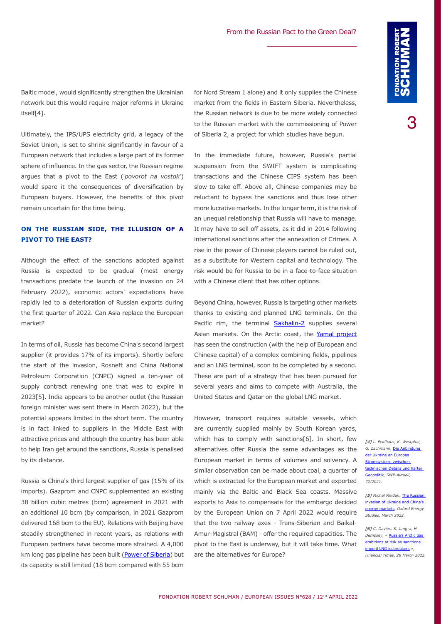3

Baltic model, would significantly strengthen the Ukrainian network but this would require major reforms in Ukraine itself[4].

Ultimately, the IPS/UPS electricity grid, a legacy of the Soviet Union, is set to shrink significantly in favour of a European network that includes a large part of its former sphere of influence. In the gas sector, the Russian regime argues that a pivot to the East ('*povorot na vostok*') would spare it the consequences of diversification by European buyers. However, the benefits of this pivot remain uncertain for the time being.

### **ON THE RUSSIAN SIDE, THE ILLUSION OF A PIVOT TO THE EAST?**

Although the effect of the sanctions adopted against Russia is expected to be gradual (most energy transactions predate the launch of the invasion on 24 February 2022), economic actors' expectations have rapidly led to a deterioration of Russian exports during the first quarter of 2022. Can Asia replace the European market?

In terms of oil, Russia has become China's second largest supplier (it provides 17% of its imports). Shortly before the start of the invasion, Rosneft and China National Petroleum Corporation (CNPC) signed a ten-year oil supply contract renewing one that was to expire in 2023[5]. India appears to be another outlet (the Russian foreign minister was sent there in March 2022), but the potential appears limited in the short term. The country is in fact linked to suppliers in the Middle East with attractive prices and although the country has been able to help Iran get around the sanctions, Russia is penalised by its distance.

Russia is China's third largest supplier of gas (15% of its imports). Gazprom and CNPC supplemented an existing 38 billion cubic metres (bcm) agreement in 2021 with an additional 10 bcm (by comparison, in 2021 Gazprom delivered 168 bcm to the EU). Relations with Beijing have steadily strengthened in recent years, as relations with European partners have become more strained. A 4,000 km long gas pipeline has been built [\(Power of Siberia\)](https://www.pipeline-journal.net/news/power-siberia-2-pipeline-puts-ever-more-pressure-europe) but its capacity is still limited (18 bcm compared with 55 bcm

for Nord Stream 1 alone) and it only supplies the Chinese market from the fields in Eastern Siberia. Nevertheless, the Russian network is due to be more widely connected to the Russian market with the commissioning of Power of Siberia 2, a project for which studies have begun.

In the immediate future, however, Russia's partial suspension from the SWIFT system is complicating transactions and the Chinese CIPS system has been slow to take off. Above all, Chinese companies may be reluctant to bypass the sanctions and thus lose other more lucrative markets. In the longer term, it is the risk of an unequal relationship that Russia will have to manage. It may have to sell off assets, as it did in 2014 following international sanctions after the annexation of Crimea. A rise in the power of Chinese players cannot be ruled out, as a substitute for Western capital and technology. The risk would be for Russia to be in a face-to-face situation with a Chinese client that has other options.

Beyond China, however, Russia is targeting other markets thanks to existing and planned LNG terminals. On the Pacific rim, the terminal **[Sakhalin-2](https://www.shell.com/about-us/major-projects/sakhalin/sakhalin-an-overview.html)** supplies several Asian markets. On the Arctic coast, the [Yamal project](https://ep.totalenergies.com/en/our-commitments-you/liquefied-natural-gas/yamal-lng-commissioning-extreme-conditions-russian-arctic) has seen the construction (with the help of European and Chinese capital) of a complex combining fields, pipelines and an LNG terminal, soon to be completed by a second. These are part of a strategy that has been pursued for several years and aims to compete with Australia, the United States and Qatar on the global LNG market.

However, transport requires suitable vessels, which are currently supplied mainly by South Korean yards, which has to comply with sanctions[6]. In short, few alternatives offer Russia the same advantages as the European market in terms of volumes and solvency. A similar observation can be made about coal, a quarter of which is extracted for the European market and exported mainly via the Baltic and Black Sea coasts. Massive exports to Asia to compensate for the embargo decided by the European Union on 7 April 2022 would require that the two railway axes - Trans-Siberian and Baikal-Amur-Magistral (BAM) - offer the required capacities. The pivot to the East is underway, but it will take time. What are the alternatives for Europe?

*[4] L. Feldhaus, K. Westphal, G. Zachmann,* [Die Anbindung](https://www.swp-berlin.org/publications/products/aktuell/2021A72_Ukraine_Europas_Stromsystem.pdf)  [der Ukraine an Europas](https://www.swp-berlin.org/publications/products/aktuell/2021A72_Ukraine_Europas_Stromsystem.pdf)  \_\_<br><u>:romsystem: zwische</u> [technischen Details und harter](https://www.swp-berlin.org/publications/products/aktuell/2021A72_Ukraine_Europas_Stromsystem.pdf)  [Geopolitik](https://www.swp-berlin.org/publications/products/aktuell/2021A72_Ukraine_Europas_Stromsystem.pdf)*, SWP-Aktuell, 72/2021.* 

[5] Michal Meidan, The Russian [invasion of Ukraine and China's](https://www.oxfordenergy.org/publications/the-russian-invasion-of-ukraine-and-chinas-energy-markets/)  [energy markets](https://www.oxfordenergy.org/publications/the-russian-invasion-of-ukraine-and-chinas-energy-markets/)*, Oxford Energy Studies, March 2022.* 

*[6] C. Davies, S. Jung-a, H. Dempsey, «* [Russia's Arctic gas](https://www.ft.com/content/2164d1e3-ee68-43ab-8c3d-61bd6ccde239)  [ambitions at risk as sanctions](https://www.ft.com/content/2164d1e3-ee68-43ab-8c3d-61bd6ccde239)  [imperil LNG icebreakers](https://www.ft.com/content/2164d1e3-ee68-43ab-8c3d-61bd6ccde239) *», Financial Times, 28 March 2022.*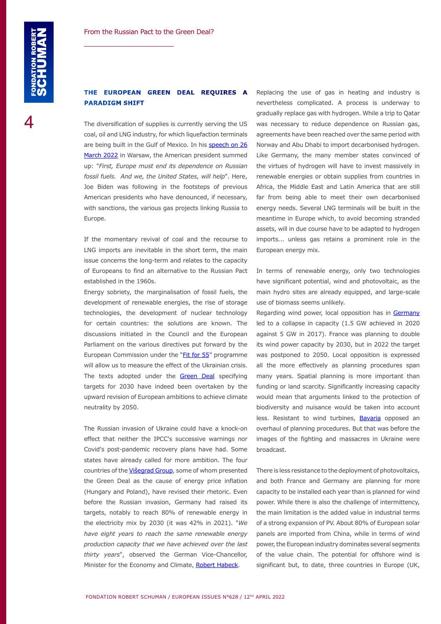4

#### **THE EUROPEAN GREEN DEAL REQUIRES A PARADIGM SHIFT**

The diversification of supplies is currently serving the US coal, oil and LNG industry, for which liquefaction terminals are being built in the Gulf of Mexico. In his [speech on 26](https://www.whitehouse.gov/briefing-room/speeches-remarks/2022/03/26/remarks-by-president-biden-on-the-united-efforts-of-the-free-world-to-support-the-people-of-ukraine/) [March 2022](https://www.whitehouse.gov/briefing-room/speeches-remarks/2022/03/26/remarks-by-president-biden-on-the-united-efforts-of-the-free-world-to-support-the-people-of-ukraine/) in Warsaw, the American president summed up: "*First, Europe must end its dependence on Russian fossil fuels. And we, the United States, will help*". Here, Joe Biden was following in the footsteps of previous American presidents who have denounced, if necessary, with sanctions, the various gas projects linking Russia to Europe.

If the momentary revival of coal and the recourse to LNG imports are inevitable in the short term, the main issue concerns the long-term and relates to the capacity of Europeans to find an alternative to the Russian Pact established in the 1960s.

Energy sobriety, the marginalisation of fossil fuels, the development of renewable energies, the rise of storage technologies, the development of nuclear technology for certain countries: the solutions are known. The discussions initiated in the Council and the European Parliament on the various directives put forward by the European Commission under the ["Fit for 55](https://www.consilium.europa.eu/en/policies/green-deal/fit-for-55-the-eu-plan-for-a-green-transition/)" programme will allow us to measure the effect of the Ukrainian crisis. The texts adopted under the [Green Deal](https://ec.europa.eu/info/strategy/priorities-2019-2024/european-green-deal_en) specifying targets for 2030 have indeed been overtaken by the upward revision of European ambitions to achieve climate neutrality by 2050.

The Russian invasion of Ukraine could have a knock-on effect that neither the IPCC's successive warnings nor Covid's post-pandemic recovery plans have had. Some states have already called for more ambition. The four countries of the [Višegrad Group](https://www.visegradgroup.eu/), some of whom presented the Green Deal as the cause of energy price inflation (Hungary and Poland), have revised their rhetoric. Even before the Russian invasion, Germany had raised its targets, notably to reach 80% of renewable energy in the electricity mix by 2030 (it was 42% in 2021). "*We have eight years to reach the same renewable energy production capacity that we have achieved over the last thirty years*", observed the German Vice-Chancellor, Minister for the Economy and Climate, [Robert Habeck](https://www.rnd.de/wirtschaft/robert-habeck-gruene-wie-will-er-den-oeko-strom-in-acht-jahren-verdoppeln-PANMD2FFWZBMFALSG5P7HEIH3I.html).

Replacing the use of gas in heating and industry is nevertheless complicated. A process is underway to gradually replace gas with hydrogen. While a trip to Qatar was necessary to reduce dependence on Russian gas, agreements have been reached over the same period with Norway and Abu Dhabi to import decarbonised hydrogen. Like Germany, the many member states convinced of the virtues of hydrogen will have to invest massively in renewable energies or obtain supplies from countries in Africa, the Middle East and Latin America that are still far from being able to meet their own decarbonised energy needs. Several LNG terminals will be built in the meantime in Europe which, to avoid becoming stranded assets, will in due course have to be adapted to hydrogen imports... unless gas retains a prominent role in the European energy mix.

In terms of renewable energy, only two technologies have significant potential, wind and photovoltaic, as the main hydro sites are already equipped, and large-scale use of biomass seems unlikely.

Regarding wind power, local opposition has in Germany led to a collapse in capacity (1.5 GW achieved in 2020 against 5 GW in 2017). France was planning to double its wind power capacity by 2030, but in 2022 the target was postponed to 2050. Local opposition is expressed all the more effectively as planning procedures span many years. Spatial planning is more important than funding or land scarcity. Significantly increasing capacity would mean that arguments linked to the protection of biodiversity and nuisance would be taken into account less. Resistant to wind turbines, **[Bavaria](https://twitter.com/MarkusBlume/status/1480904490588979202?ref_src=twsrc%5Egoogle%7Ctwcamp%5Eserp%7Ctwgr%5Etweet)** opposed an overhaul of planning procedures. But that was before the images of the fighting and massacres in Ukraine were broadcast.

There is less resistance to the deployment of photovoltaics, and both France and Germany are planning for more capacity to be installed each year than is planned for wind power. While there is also the challenge of intermittency, the main limitation is the added value in industrial terms of a strong expansion of PV. About 80% of European solar panels are imported from China, while in terms of wind power, the European industry dominates several segments of the value chain. The potential for offshore wind is significant but, to date, three countries in Europe (UK,